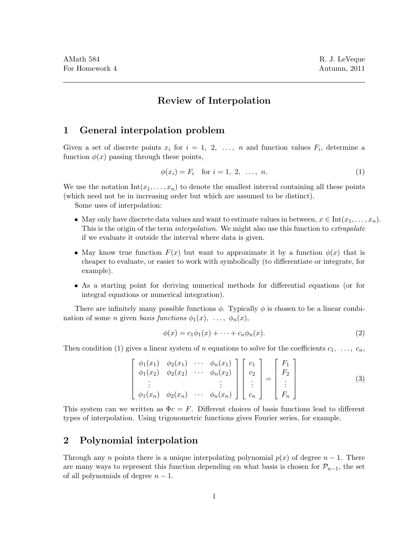# Review of Interpolation

### 1 General interpolation problem

Given a set of discrete points  $x_i$  for  $i = 1, 2, \ldots, n$  and function values  $F_i$ , determine a function  $\phi(x)$  passing through these points,

$$
\phi(x_i) = F_i \text{ for } i = 1, 2, \dots, n. \tag{1}
$$

We use the notation  $Int(x_1, \ldots, x_n)$  to denote the smallest interval containing all these points (which need not be in increasing order but which are assumed to be distinct).

Some uses of interpolation:

- May only have discrete data values and want to estimate values in between,  $x \in \text{Int}(x_1, \ldots, x_n)$ . This is the origin of the term *interpolation*. We might also use this function to *extrapolate* if we evaluate it outside the interval where data is given.
- May know true function  $F(x)$  but want to approximate it by a function  $\phi(x)$  that is cheaper to evaluate, or easier to work with symbolically (to differentiate or integrate, for example).
- As a starting point for deriving numerical methods for differential equations (or for integral equations or numerical integration).

There are infinitely many possible functions  $\phi$ . Typically  $\phi$  is chosen to be a linear combination of some *n* given basis functions  $\phi_1(x), \ldots, \phi_n(x)$ ,

$$
\phi(x) = c_1 \phi_1(x) + \dots + c_n \phi_n(x). \tag{2}
$$

Then condition (1) gives a linear system of n equations to solve for the coefficients  $c_1, \ldots, c_n$ ,

$$
\begin{bmatrix}\n\phi_1(x_1) & \phi_2(x_1) & \cdots & \phi_n(x_1) \\
\phi_1(x_2) & \phi_2(x_2) & \cdots & \phi_n(x_2) \\
\vdots & & \vdots \\
\phi_1(x_n) & \phi_2(x_n) & \cdots & \phi_n(x_n)\n\end{bmatrix}\n\begin{bmatrix}\nc_1 \\
c_2 \\
\vdots \\
c_n\n\end{bmatrix}\n=\n\begin{bmatrix}\nF_1 \\
F_2 \\
\vdots \\
F_n\n\end{bmatrix}
$$
\n(3)

This system can we written as  $\Phi c = F$ . Different choices of basis functions lead to different types of interpolation. Using trigonometric functions gives Fourier series, for example.

## 2 Polynomial interpolation

Through any n points there is a unique interpolating polynomial  $p(x)$  of degree  $n-1$ . There are many ways to represent this function depending on what basis is chosen for  $\mathcal{P}_{n-1}$ , the set of all polynomials of degree  $n - 1$ .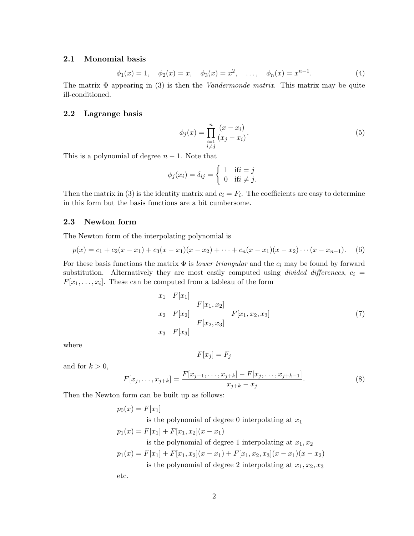### 2.1 Monomial basis

$$
\phi_1(x) = 1, \quad \phi_2(x) = x, \quad \phi_3(x) = x^2, \quad \dots, \quad \phi_n(x) = x^{n-1}.
$$
\n(4)

The matrix  $\Phi$  appearing in (3) is then the *Vandermonde matrix*. This matrix may be quite ill-conditioned.

### 2.2 Lagrange basis

$$
\phi_j(x) = \prod_{\substack{i=1 \ i \neq j}}^n \frac{(x - x_i)}{(x_j - x_i)}.
$$
\n(5)

This is a polynomial of degree  $n - 1$ . Note that

$$
\phi_j(x_i) = \delta_{ij} = \begin{cases} 1 & \text{if } i = j \\ 0 & \text{if } i \neq j. \end{cases}
$$

Then the matrix in (3) is the identity matrix and  $c_i = F_i$ . The coefficients are easy to determine in this form but the basis functions are a bit cumbersome.

#### 2.3 Newton form

The Newton form of the interpolating polynomial is

$$
p(x) = c_1 + c_2(x - x_1) + c_3(x - x_1)(x - x_2) + \cdots + c_n(x - x_1)(x - x_2) \cdots (x - x_{n-1}).
$$
 (6)

For these basis functions the matrix  $\Phi$  is *lower triangular* and the  $c_i$  may be found by forward substitution. Alternatively they are most easily computed using *divided differences*,  $c_i$  =  $F[x_1, \ldots, x_i]$ . These can be computed from a tableau of the form

$$
x_1 \t F[x_1]
$$
  
\n
$$
F[x_1, x_2]
$$
  
\n
$$
x_2 \t F[x_2]
$$
  
\n
$$
F[x_2, x_3]
$$
  
\n
$$
F[x_1, x_2, x_3]
$$
  
\n
$$
F[x_1, x_2, x_3]
$$
  
\n(7)  
\n
$$
F[x_2, x_3]
$$

where

$$
F[x_j] = F_j
$$

and for  $k > 0$ ,

$$
F[x_j, \dots, x_{j+k}] = \frac{F[x_{j+1}, \dots, x_{j+k}] - F[x_j, \dots, x_{j+k-1}]}{x_{j+k} - x_j}.
$$
\n(8)

Then the Newton form can be built up as follows:

$$
p_0(x) = F[x_1]
$$
  
is the polynomial of degree 0 interpolating at  $x_1$   

$$
p_1(x) = F[x_1] + F[x_1, x_2](x - x_1)
$$
  
is the polynomial of degree 1 interpolating at  $x_1, x_2$   

$$
p_1(x) = F[x_1] + F[x_1, x_2](x - x_1) + F[x_1, x_2, x_3](x - x_1)(x - x_2)
$$
  
is the polynomial of degree 2 interpolating at  $x_1, x_2, x_3$   
etc.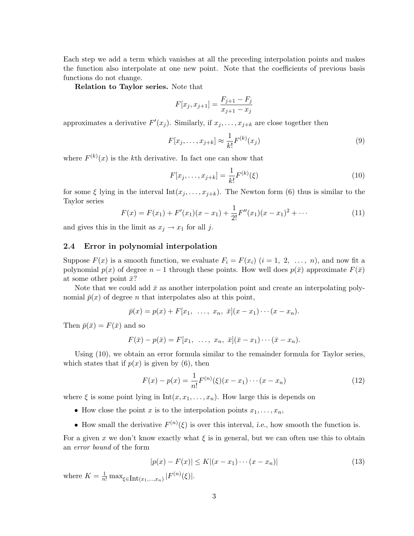Each step we add a term which vanishes at all the preceding interpolation points and makes the function also interpolate at one new point. Note that the coefficients of previous basis functions do not change.

Relation to Taylor series. Note that

$$
F[x_j, x_{j+1}] = \frac{F_{j+1} - F_j}{x_{j+1} - x_j}
$$

approximates a derivative  $F'(x_j)$ . Similarly, if  $x_j, \ldots, x_{j+k}$  are close together then

$$
F[x_j, \dots, x_{j+k}] \approx \frac{1}{k!} F^{(k)}(x_j)
$$
\n
$$
(9)
$$

where  $F^{(k)}(x)$  is the k<sup>th</sup> derivative. In fact one can show that

$$
F[x_j, \dots, x_{j+k}] = \frac{1}{k!} F^{(k)}(\xi)
$$
\n(10)

for some  $\xi$  lying in the interval  $Int(x_j, \ldots, x_{j+k})$ . The Newton form (6) thus is similar to the Taylor series

$$
F(x) = F(x_1) + F'(x_1)(x - x_1) + \frac{1}{2!}F''(x_1)(x - x_1)^2 + \cdots
$$
 (11)

and gives this in the limit as  $x_j \rightarrow x_1$  for all j.

#### 2.4 Error in polynomial interpolation

Suppose  $F(x)$  is a smooth function, we evaluate  $F_i = F(x_i)$   $(i = 1, 2, ..., n)$ , and now fit a polynomial  $p(x)$  of degree  $n-1$  through these points. How well does  $p(\bar{x})$  approximate  $F(\bar{x})$ at some other point  $\bar{x}$ ?

Note that we could add  $\bar{x}$  as another interpolation point and create an interpolating polynomial  $\bar{p}(x)$  of degree *n* that interpolates also at this point,

$$
\bar{p}(x) = p(x) + F[x_1, \ldots, x_n, \bar{x}](x - x_1) \cdots (x - x_n).
$$

Then  $\bar{p}(\bar{x}) = F(\bar{x})$  and so

$$
F(\bar{x}) - p(\bar{x}) = F[x_1, \ldots, x_n, \bar{x}](\bar{x} - x_1) \cdots (\bar{x} - x_n).
$$

Using (10), we obtain an error formula similar to the remainder formula for Taylor series, which states that if  $p(x)$  is given by (6), then

$$
F(x) - p(x) = \frac{1}{n!} F^{(n)}(\xi)(x - x_1) \cdots (x - x_n)
$$
\n(12)

where  $\xi$  is some point lying in  $Int(x, x_1, \ldots, x_n)$ . How large this is depends on

- How close the point x is to the interpolation points  $x_1, \ldots, x_n$ ,
- How small the derivative  $F^{(n)}(\xi)$  is over this interval, *i.e.*, how smooth the function is.

For a given x we don't know exactly what  $\xi$  is in general, but we can often use this to obtain an error bound of the form

$$
|p(x) - F(x)| \le K |(x - x_1) \cdots (x - x_n)| \tag{13}
$$

where  $K = \frac{1}{n!} \max_{\xi \in \text{Int}(x_1, ..., x_n)} |F^{(n)}(\xi)|$ .